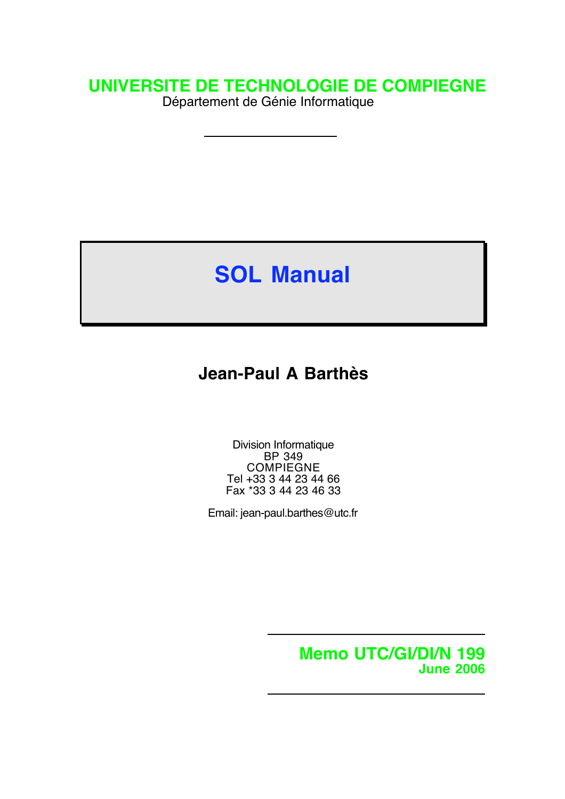# **UNIVERSITE DE TECHNOLOGIE DE COMPIEGNE**

Département de Génie Informatique

# **SOL Manual**

# **Jean-Paul A Barthès**

Division Informatique BP 349 COMPIEGNE Tel +33 3 44 23 44 66 Fax \*33 3 44 23 46 33

Email: jean-paul.barthes@utc.fr

**Memo UTC/GI/DI/N 199 June 2006**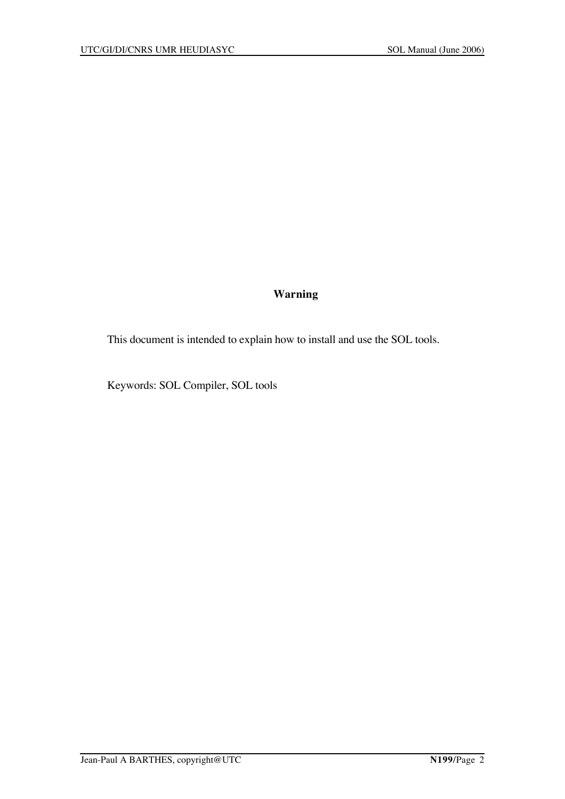## **Warning**

This document is intended to explain how to install and use the SOL tools.

Keywords: SOL Compiler, SOL tools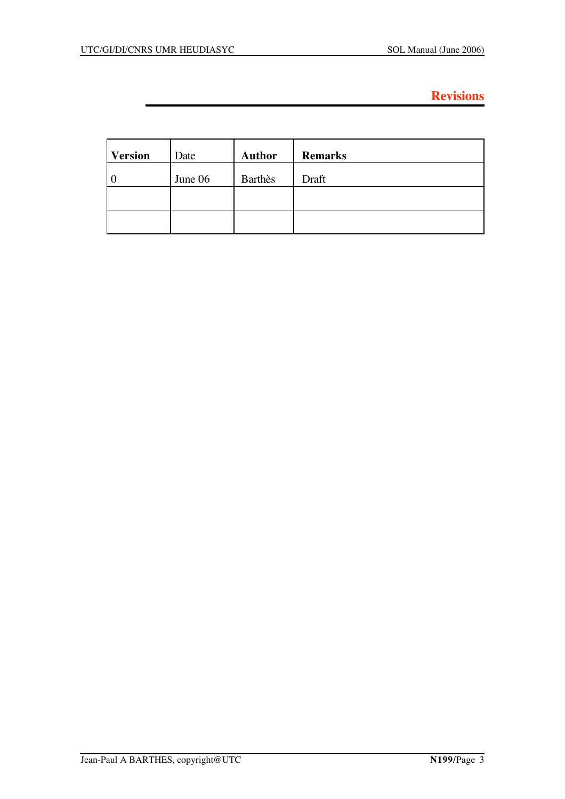# **Revisions**

| <b>Version</b> | Date    | <b>Author</b>  | <b>Remarks</b> |
|----------------|---------|----------------|----------------|
| $\overline{0}$ | June 06 | <b>Barthès</b> | Draft          |
|                |         |                |                |
|                |         |                |                |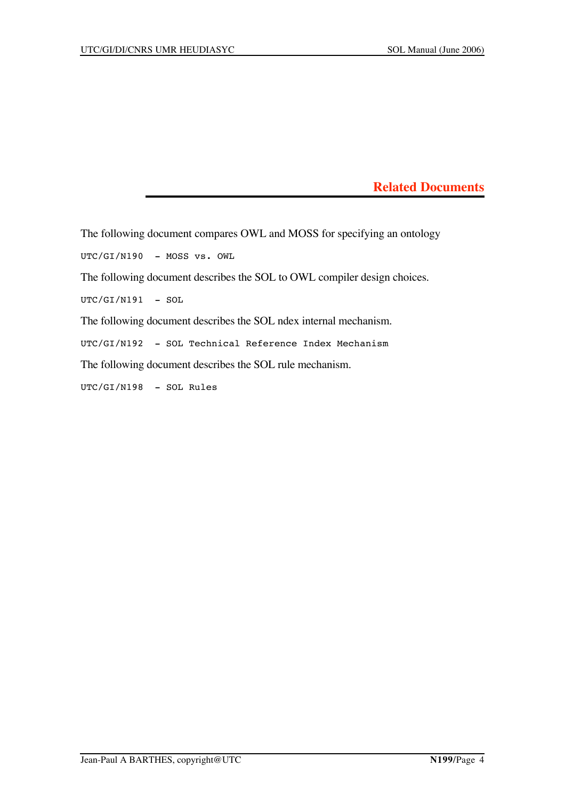**Related Documents**

The following document compares OWL and MOSS for specifying an ontology

UTC/GI/N190 - MOSS vs. OWL

The following document describes the SOL to OWL compiler design choices.

 $UTC/GT/N191 - SOL$ 

The following document describes the SOL ndex internal mechanism.

UTC/GI/N192 - SOL Technical Reference Index Mechanism

The following document describes the SOL rule mechanism.

UTC/GI/N198 - SOL Rules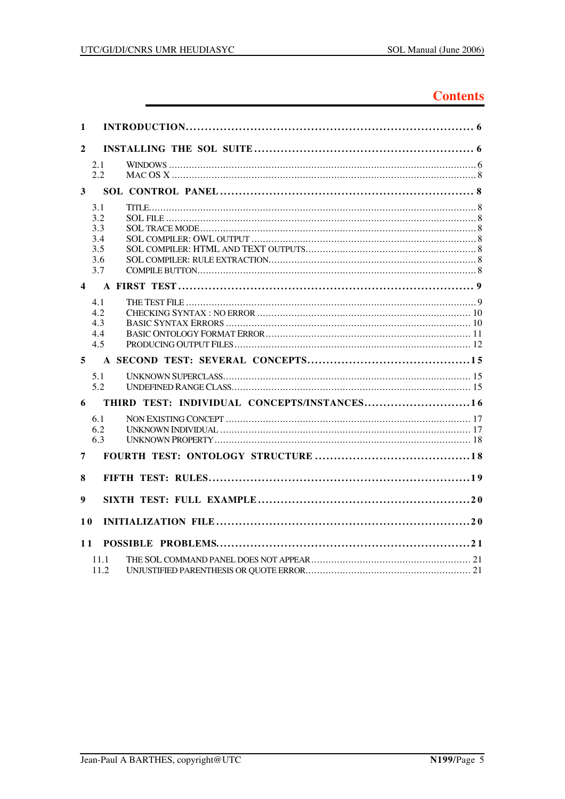# **Contents**

| 1                       |                                               |                                             |  |
|-------------------------|-----------------------------------------------|---------------------------------------------|--|
| $\mathbf{2}$            |                                               |                                             |  |
|                         | 2.1<br>2.2                                    |                                             |  |
| 3                       |                                               |                                             |  |
|                         | 3.1<br>3.2<br>3.3<br>3.4<br>3.5<br>3.6<br>3.7 |                                             |  |
| $\overline{\mathbf{4}}$ |                                               |                                             |  |
|                         | 4.1<br>4.2<br>4.3<br>4.4<br>4.5               |                                             |  |
| 5                       |                                               |                                             |  |
|                         | 5.1<br>5.2                                    |                                             |  |
| 6                       |                                               | THIRD TEST: INDIVIDUAL CONCEPTS/INSTANCES16 |  |
|                         | 6.1<br>6.2<br>6.3                             |                                             |  |
| 7                       |                                               |                                             |  |
| 8                       |                                               |                                             |  |
| 9                       |                                               |                                             |  |
| <b>10</b>               |                                               |                                             |  |
| 11                      |                                               |                                             |  |
|                         | 11.1<br>11.2                                  |                                             |  |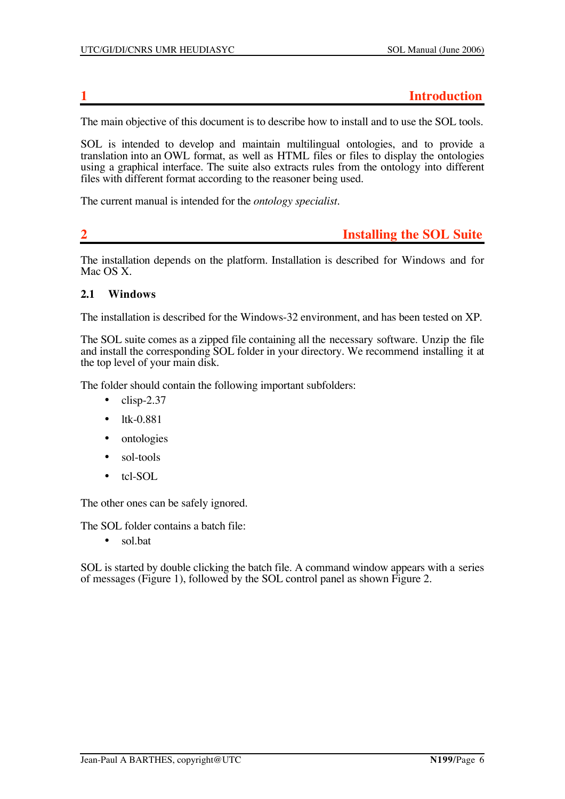### **1 Introduction**

The main objective of this document is to describe how to install and to use the SOL tools.

SOL is intended to develop and maintain multilingual ontologies, and to provide a translation into an OWL format, as well as HTML files or files to display the ontologies using a graphical interface. The suite also extracts rules from the ontology into different files with different format according to the reasoner being used.

The current manual is intended for the *ontology specialist*.

## **2 Installing the SOL Suite**

The installation depends on the platform. Installation is described for Windows and for Mac OS X.

#### **2.1 Windows**

The installation is described for the Windows-32 environment, and has been tested on XP.

The SOL suite comes as a zipped file containing all the necessary software. Unzip the file and install the corresponding SOL folder in your directory. We recommend installing it at the top level of your main disk.

The folder should contain the following important subfolders:

- $\bullet$  clisp-2.37
- ltk-0.881
- ontologies
- sol-tools
- tcl-SOL

The other ones can be safely ignored.

The SOL folder contains a batch file:

• sol.bat

SOL is started by double clicking the batch file. A command window appears with a series of messages (Figure 1), followed by the SOL control panel as shown Figure 2.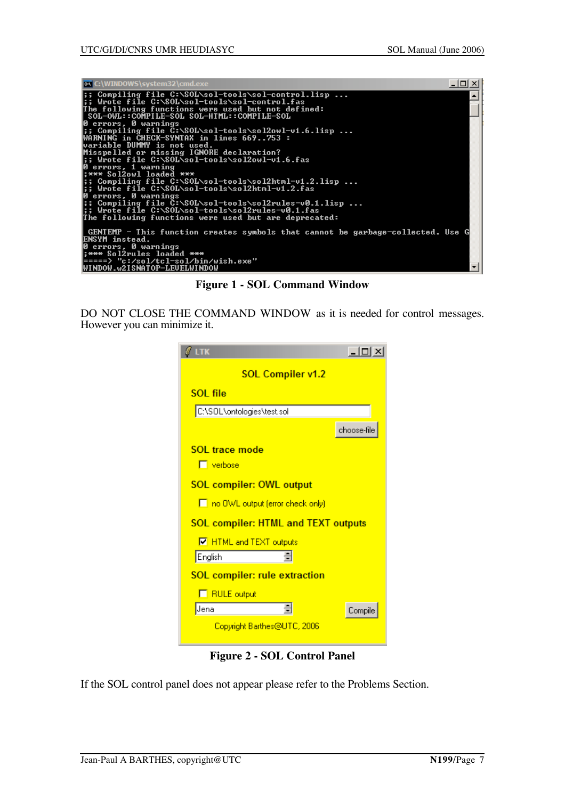

**Figure 1 - SOL Command Window**

DO NOT CLOSE THE COMMAND WINDOW as it is needed for control messages. However you can minimize it.

| LTK<br>$ \Box$ $\times$                    |
|--------------------------------------------|
| <b>SOL Compiler v1.2</b>                   |
| SOL file                                   |
| C:\SOL\ontologies\test.sol                 |
| choose-file                                |
| SOL trace mode                             |
| $\Box$ verbose                             |
| <b>SOL compiler: OWL output</b>            |
| no OWL output (error check only)           |
| <b>SOL compiler: HTML and TEXT outputs</b> |
| <b>V</b> HTML and TEXT outputs             |
| 쉬<br>English                               |
| <b>SOL compiler: rule extraction</b>       |
| <b>F</b> RULE output                       |
| Jena<br>Compile                            |
| Copyright Barthes@UTC, 2006                |

**Figure 2 - SOL Control Panel**

If the SOL control panel does not appear please refer to the Problems Section.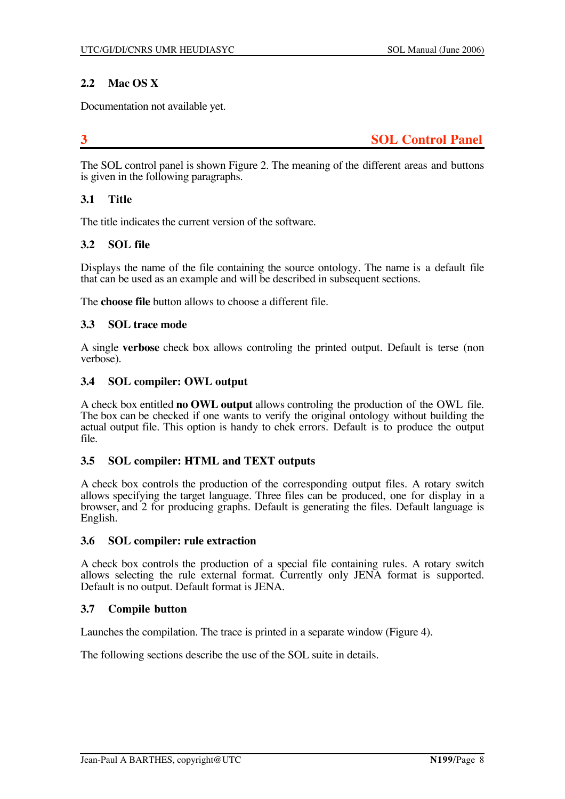### **2.2 Mac OS X**

Documentation not available yet.

**3 SOL Control Panel**

The SOL control panel is shown Figure 2. The meaning of the different areas and buttons is given in the following paragraphs.

#### **3.1 Title**

The title indicates the current version of the software.

#### **3.2 SOL file**

Displays the name of the file containing the source ontology. The name is a default file that can be used as an example and will be described in subsequent sections.

The **choose file** button allows to choose a different file.

#### **3.3 SOL trace mode**

A single **verbose** check box allows controling the printed output. Default is terse (non verbose).

#### **3.4 SOL compiler: OWL output**

A check box entitled **no OWL output** allows controling the production of the OWL file. The box can be checked if one wants to verify the original ontology without building the actual output file. This option is handy to chek errors. Default is to produce the output file.

#### **3.5 SOL compiler: HTML and TEXT outputs**

A check box controls the production of the corresponding output files. A rotary switch allows specifying the target language. Three files can be produced, one for display in a browser, and 2 for producing graphs. Default is generating the files. Default language is English.

#### **3.6 SOL compiler: rule extraction**

A check box controls the production of a special file containing rules. A rotary switch allows selecting the rule external format. Currently only JENA format is supported. Default is no output. Default format is JENA.

#### **3.7 Compile button**

Launches the compilation. The trace is printed in a separate window (Figure 4).

The following sections describe the use of the SOL suite in details.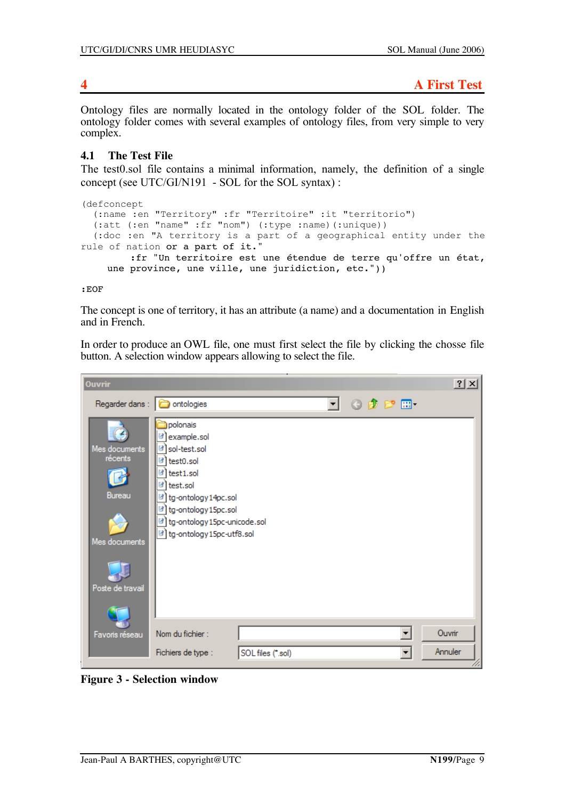Ontology files are normally located in the ontology folder of the SOL folder. The ontology folder comes with several examples of ontology files, from very simple to very complex.

### **4.1 The Test File**

The test0.sol file contains a minimal information, namely, the definition of a single concept (see UTC/GI/N191 - SOL for the SOL syntax) :

```
(defconcept
  (:name :en "Territory" :fr "Territoire" :it "territorio")
   (:att (:en "name" :fr "nom") (:type :name)(:unique))
  (:doc :en "A territory is a part of a geographical entity under the
rule of nation or a part of it."
         :fr "Un territoire est une étendue de terre qu'offre un état,
    une province, une ville, une juridiction, etc."))
```
:EOF

The concept is one of territory, it has an attribute (a name) and a documentation in English and in French.

In order to produce an OWL file, one must first select the file by clicking the chosse file button. A selection window appears allowing to select the file.

| <b>Ouvrir</b>                                                           |                                                                                                                                                                                                   |    |                          | ? X     |
|-------------------------------------------------------------------------|---------------------------------------------------------------------------------------------------------------------------------------------------------------------------------------------------|----|--------------------------|---------|
| Regarder dans :   @ ontologies                                          |                                                                                                                                                                                                   | ▾╎ | ⊙ 步 2 田                  |         |
| Mes documents<br>récents<br>Bureau<br>Mes documents<br>Poste de travail | polonais<br>example.sol<br>sol-test.sol<br>ы<br>test0.sol<br>test1.sol<br>test.sol<br>tg-ontology 14pc.sol<br>tg-ontology 15pc.sol<br>tg-ontology 15pc-unicode.sol<br>d tg-ontology 15pc-utf8.sol |    |                          |         |
| Favoris réseau                                                          | Nom du fichier :                                                                                                                                                                                  |    | $\overline{\phantom{a}}$ | Ouvrir  |
|                                                                         | Fichiers de type :<br>SOL files (*.sol)                                                                                                                                                           |    |                          | Annuler |

**Figure 3 - Selection window**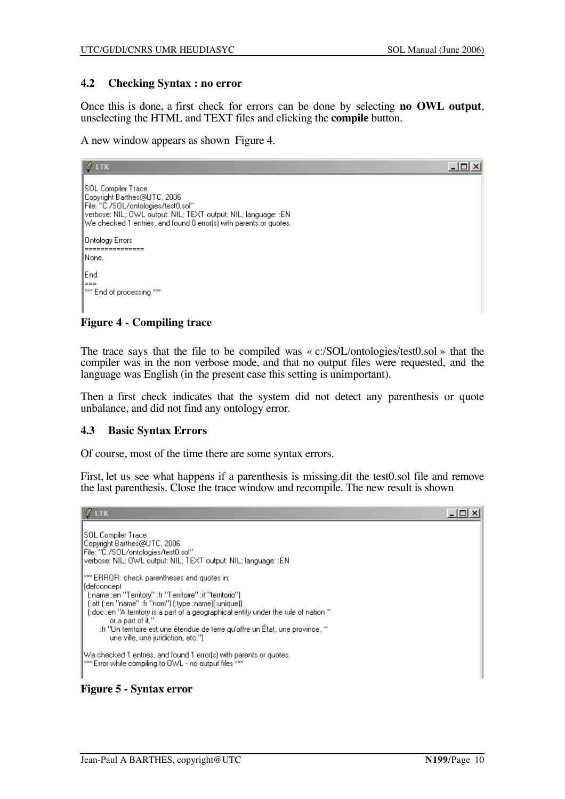#### **4.2 Checking Syntax : no error**

Once this is done, a first check for errors can be done by selecting **no OWL output**, unselecting the HTML and TEXT files and clicking the **compile** button.

A new window appears as shown Figure 4.

| $\ell$ ltk                                                                                                                                                                                                                              | 니미 |
|-----------------------------------------------------------------------------------------------------------------------------------------------------------------------------------------------------------------------------------------|----|
| <b>SOL Compiler Trace</b><br>Copyright Barthes@UTC, 2006<br>File: "C:/SOL/ontologies/test0.sol"<br>verbose: NIL; OWL output: NIL; TEXT output: NIL; language: :EN<br>We checked 1 entries, and found 0 error(s) with parents or quotes. |    |
| Ontology Errors<br>INone.                                                                                                                                                                                                               |    |
| End<br> ===<br>I*** End of processing ***                                                                                                                                                                                               |    |

#### **Figure 4 - Compiling trace**

The trace says that the file to be compiled was « c:/SOL/ontologies/test0.sol » that the compiler was in the non verbose mode, and that no output files were requested, and the language was English (in the present case this setting is unimportant).

Then a first check indicates that the system did not detect any parenthesis or quote unbalance, and did not find any ontology error.

#### **4.3 Basic Syntax Errors**

Of course, most of the time there are some syntax errors.

First, let us see what happens if a parenthesis is missing.dit the test0.sol file and remove the last parenthesis. Close the trace window and recompile. The new result is shown



**Figure 5 - Syntax error**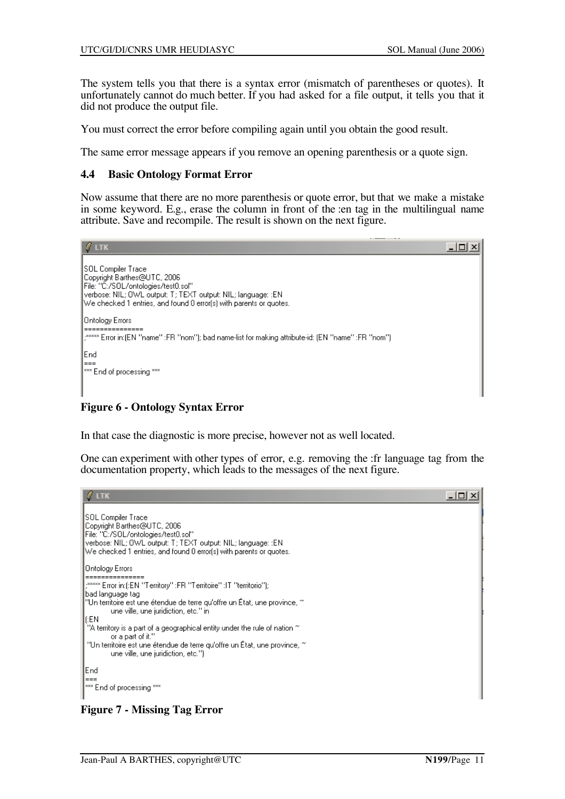The system tells you that there is a syntax error (mismatch of parentheses or quotes). It unfortunately cannot do much better. If you had asked for a file output, it tells you that it did not produce the output file.

You must correct the error before compiling again until you obtain the good result.

The same error message appears if you remove an opening parenthesis or a quote sign.

#### **4.4 Basic Ontology Format Error**

Now assume that there are no more parenthesis or quote error, but that we make a mistake in some keyword. E.g., erase the column in front of the :en tag in the multilingual name attribute. Save and recompile. The result is shown on the next figure.



**Figure 6 - Ontology Syntax Error**

In that case the diagnostic is more precise, however not as well located.

One can experiment with other types of error, e.g. removing the :fr language tag from the documentation property, which leads to the messages of the next figure.

```
\ell ltk
                                                                                                                                             -\Box \timesSOL Compiler Trace
Copyright Barthes@UTC, 2006
File: "C:/SOL/ontologies/test0.sol"
verbose: NIL; OWL output: T; TEXT output: NIL; language: :EN
We checked 1 entries, and found 0 error(s) with parents or quotes.
Ontology Errors
.***** Error in:(:EN "Territory" :FR "Territoire" :IT "territorio");
bad language tag
"Un territoire est une étendue de terre qu'offre un État, une province, ~<br>"Un territoire est une étendue de terre qu'offre un État, une province, ~
(:EN
 ...<br>"A territory is a part of a geographical entity under the rule of nation \sim or a part of it.''
"Un territoire est une étendue de terre qu'offre un État, une province, ~
         une ville, une juridiction, etc.")
End
*** End of processing ***
```
### **Figure 7 - Missing Tag Error**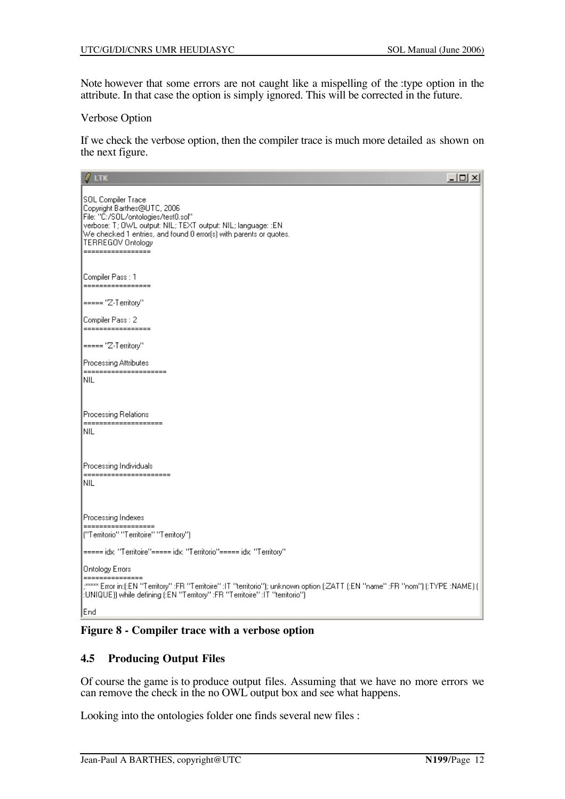Note however that some errors are not caught like a mispelling of the :type option in the attribute. In that case the option is simply ignored. This will be corrected in the future.

#### Verbose Option

If we check the verbose option, then the compiler trace is much more detailed as shown on the next figure.

| $\ell$ ltk<br>$\Box$ ol $\times$                                                                                                                                                                                                                                         |
|--------------------------------------------------------------------------------------------------------------------------------------------------------------------------------------------------------------------------------------------------------------------------|
| SOL Compiler Trace<br>Copyright Barthes@UTC, 2006<br>File: "C:/SOL/ontologies/test0.sol"<br>verbose: T; OWL output: NIL; TEXT output: NIL; language: :EN<br>We checked 1 entries, and found 0 error(s) with parents or quotes.<br>TERREGOV Ontology<br>----------------- |
| Compiler Pass : 1<br>=================                                                                                                                                                                                                                                   |
| ===== "Z-Territory"                                                                                                                                                                                                                                                      |
| Compiler Pass: 2<br>-----------                                                                                                                                                                                                                                          |
| ===== "Z-Territory"                                                                                                                                                                                                                                                      |
| Processing Attributes                                                                                                                                                                                                                                                    |
| =====================<br>Inil                                                                                                                                                                                                                                            |
| Processing Relations<br>====================<br>Inil                                                                                                                                                                                                                     |
| Processing Individuals                                                                                                                                                                                                                                                   |
| ======================<br>Inil                                                                                                                                                                                                                                           |
|                                                                                                                                                                                                                                                                          |
| Processing Indexes                                                                                                                                                                                                                                                       |
| =================<br>("Territorio" "Territoire" "Territory")                                                                                                                                                                                                             |
| ===== idx: "Territoire"===== idx: "Territorio"===== idx: "Territory"                                                                                                                                                                                                     |
| Ontology Errors                                                                                                                                                                                                                                                          |
| ,***** Error in:(:EN "Territory" :FR "Territoire" :IT "territorio"); unknown option (:ZATT (:EN "name" :FR "nom") (:TYPE :NAME) (<br>:UNIQUE)) while defining (:EN "Territory" :FR "Territoire" :IT "territorio")                                                        |
| End                                                                                                                                                                                                                                                                      |

**Figure 8 - Compiler trace with a verbose option**

#### **4.5 Producing Output Files**

Of course the game is to produce output files. Assuming that we have no more errors we can remove the check in the no OWL output box and see what happens.

Looking into the ontologies folder one finds several new files :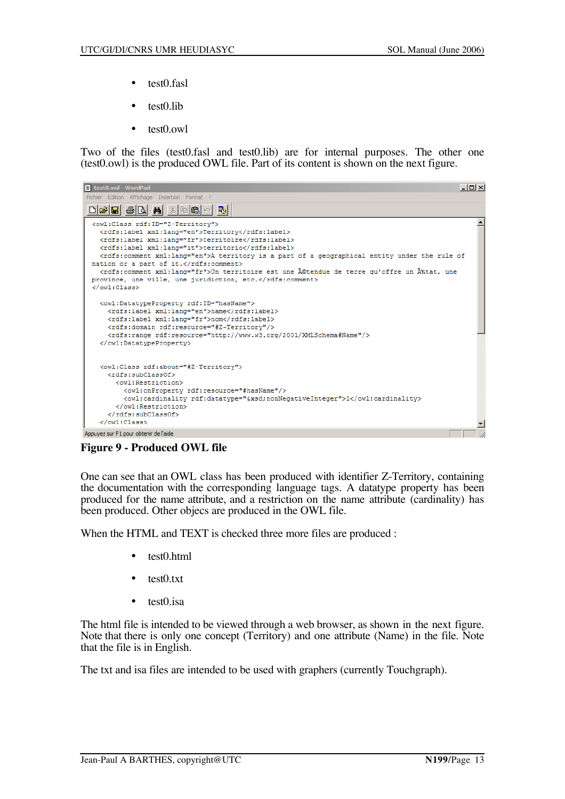- test0.fasl
- test0.lib
- test0.owl

Two of the files (test0.fasl and test0.lib) are for internal purposes. The other one (test0.owl) is the produced OWL file. Part of its content is shown on the next figure.

| test0.owl - WordPad                                                                                                                                                                                                                                                                                                                                                                                                                                                                                                                                          | $  $ $\Box$ $ $ $\times$ $ $ |
|--------------------------------------------------------------------------------------------------------------------------------------------------------------------------------------------------------------------------------------------------------------------------------------------------------------------------------------------------------------------------------------------------------------------------------------------------------------------------------------------------------------------------------------------------------------|------------------------------|
| Fichier Edition Affichage Insertion Format ?                                                                                                                                                                                                                                                                                                                                                                                                                                                                                                                 |                              |
| 066880 M<br>ig Ci<br>国                                                                                                                                                                                                                                                                                                                                                                                                                                                                                                                                       |                              |
| <owl:class rdf:id="Z-Territory"><br/><rdfs:label xml:lang="en">Territory</rdfs:label><br/><rdfs:label xml:lang="fr">Territoire</rdfs:label><br/><rdfs:label xml:lang="it">territorio</rdfs:label><br/><rdfs:comment xml:lang="en">A territory is a part of a geographical entity under the rule of<br/>nation or a part of it.</rdfs:comment><br/><rdfs:comment xml:lang="fr">Un territoire est une étendue de terre qu'offre un Ã%tat, une<br/>province, une ville, une juridiction, etc.</rdfs:comment><br/><math>\langle</math>/owl:Class&gt;</owl:class> |                              |
| <owl:datatypeproperty rdf:id="hasName"><br/><rdfs:label xml:lang="en">name</rdfs:label><br/><rdfs:label xml:lang="fr">nom</rdfs:label><br/><rdfs:domain rdf:resource="#Z-Territory"></rdfs:domain><br/><rdfs:range rdf:resource="http://www.w3.org/2001/XMLSchema#Name"></rdfs:range><br/></owl:datatypeproperty>                                                                                                                                                                                                                                            |                              |
| <owl:class rdf:about="#Z-Territory"><br/><rdfs:subclassof><br/><owl:restriction><br/><owl:onproperty rdf:resource="#hasName"></owl:onproperty><br/><owl:cardinality rdf:datatype="&amp;xsd;nonNegativeInteger">1</owl:cardinality><br/><math>\langle</math>/owl:Restriction&gt;<br/></owl:restriction></rdfs:subclassof><br/><math>\langle</math>/owl:Class&gt;</owl:class>                                                                                                                                                                                  |                              |
| Appuvez sur F1 pour obtenir de l'aide                                                                                                                                                                                                                                                                                                                                                                                                                                                                                                                        |                              |

**Figure 9 - Produced OWL file**

One can see that an OWL class has been produced with identifier Z-Territory, containing the documentation with the corresponding language tags. A datatype property has been produced for the name attribute, and a restriction on the name attribute (cardinality) has been produced. Other objecs are produced in the OWL file.

When the HTML and TEXT is checked three more files are produced :

- test0.html
- test0.txt
- test0.isa

The html file is intended to be viewed through a web browser, as shown in the next figure. Note that there is only one concept (Territory) and one attribute (Name) in the file. Note that the file is in English.

The txt and isa files are intended to be used with graphers (currently Touchgraph).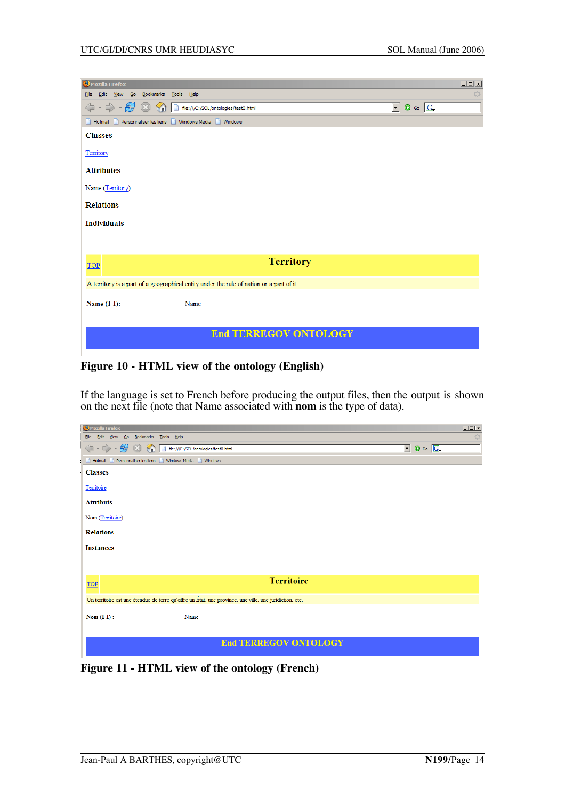| $\Box$<br>Mozilla Firefox                                                                                |
|----------------------------------------------------------------------------------------------------------|
| Edit View<br>Go Bookmarks<br>Tools Help<br>€<br>Eile                                                     |
| $\circ$ Go $\circ$<br>$\cdot \Rightarrow \cdot \infty$<br>⇦<br>회<br>file:///C:/SOL/ontologies/test0.html |
| Hotmail Personnaliser les liens Vindows Media Vindows                                                    |
| <b>Classes</b>                                                                                           |
| Territory                                                                                                |
| <b>Attributes</b>                                                                                        |
| Name (Territory)                                                                                         |
| <b>Relations</b>                                                                                         |
| <b>Individuals</b>                                                                                       |
|                                                                                                          |
| <b>Territory</b>                                                                                         |
| TOP                                                                                                      |
| A territory is a part of a geographical entity under the rule of nation or a part of it.                 |
| Name (1 1):<br>Name                                                                                      |
|                                                                                                          |
| <b>End TERREGOV ONTOLOGY</b>                                                                             |

**Figure 10 - HTML view of the ontology (English)**

If the language is set to French before producing the output files, then the output is shown on the next file (note that Name associated with **nom** is the type of data).

| Mozilla Firefox                                                                                         |                              | $-12X$                                          |
|---------------------------------------------------------------------------------------------------------|------------------------------|-------------------------------------------------|
| Edit View Go Bookmarks Tools Help<br>Eile                                                               |                              |                                                 |
| ⇔<br>$\cdot$<br>$-2$<br>$\circledcirc$<br>$\mathcal{A}$<br>file:///C:/SOL/ontologies/test0.html         |                              | $\boxed{\cdot}$ $\boxed{\circ}$ $\boxed{\circ}$ |
| Personnaliser les liens   Windows Media   Windows<br><b>Hotmail</b>                                     |                              |                                                 |
| <b>Classes</b>                                                                                          |                              |                                                 |
| Territoire                                                                                              |                              |                                                 |
| <b>Attributs</b>                                                                                        |                              |                                                 |
| Nom (Territoire)                                                                                        |                              |                                                 |
| <b>Relations</b>                                                                                        |                              |                                                 |
| <b>Instances</b>                                                                                        |                              |                                                 |
|                                                                                                         |                              |                                                 |
|                                                                                                         | <b>Territoire</b>            |                                                 |
| <b>TOP</b>                                                                                              |                              |                                                 |
| Un territoire est une étendue de terre qu'offre un État, une province, une ville, une juridiction, etc. |                              |                                                 |
| Nom $(1 1)$ :<br>Name                                                                                   |                              |                                                 |
|                                                                                                         |                              |                                                 |
|                                                                                                         | <b>End TERREGOV ONTOLOGY</b> |                                                 |
|                                                                                                         |                              |                                                 |

**Figure 11 - HTML view of the ontology (French)**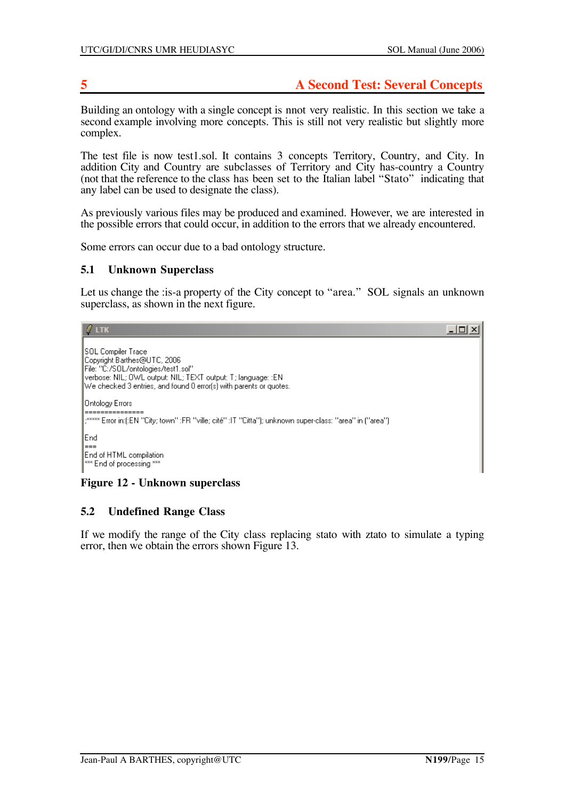# **5 A Second Test: Several Concepts**

Building an ontology with a single concept is nnot very realistic. In this section we take a second example involving more concepts. This is still not very realistic but slightly more complex.

The test file is now test1.sol. It contains 3 concepts Territory, Country, and City. In addition City and Country are subclasses of Territory and City has-country a Country (not that the reference to the class has been set to the Italian label "Stato" indicating that any label can be used to designate the class).

As previously various files may be produced and examined. However, we are interested in the possible errors that could occur, in addition to the errors that we already encountered.

Some errors can occur due to a bad ontology structure.

#### **5.1 Unknown Superclass**

 $\ell$  ltk

Let us change the : is-a property of the City concept to "area." SOL signals an unknown superclass, as shown in the next figure.

- |미 ×|

```
SOL Compiler Trace
Copyright Barthes@UTC, 2006
File: "C:/SOL/ontologies/test1.sol"
verbose: NIL; OWL output: NIL; TEXT output: T; language: : EN
We checked 3 entries, and found 0 error(s) with parents or quotes.
Ontology Errors
; ***** Error in:(:EN "City; town" :FR "ville; cité" :IT "Citta"); unknown super-class: "area" in ("area")
End
End of HTML compilation
** End of processing ***
```
#### **Figure 12 - Unknown superclass**

#### **5.2 Undefined Range Class**

If we modify the range of the City class replacing stato with ztato to simulate a typing error, then we obtain the errors shown Figure 13.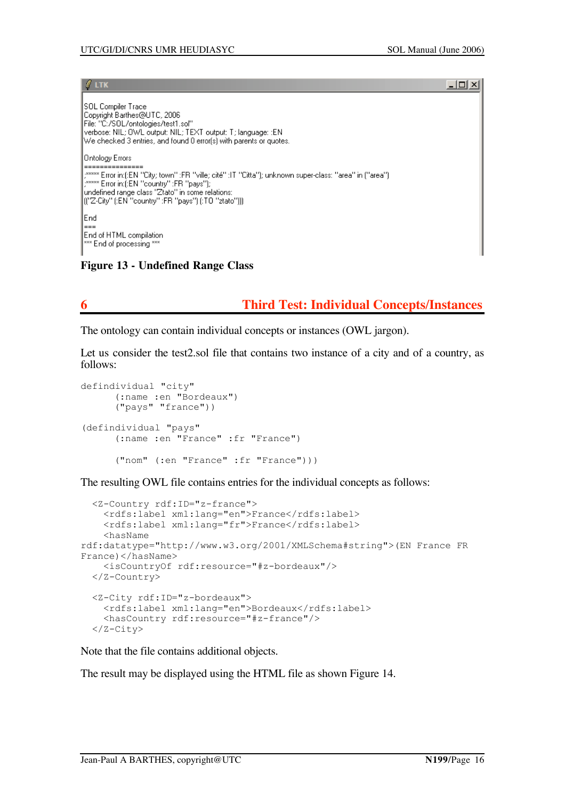$\Box$   $\times$ 

#### $\ell$  ltk

SOL Compiler Trace Copyright Barthes@UTC, 2006 File: "C:/SOL/ontologies/test1.sol" verbose: NIL; 0WL output: NIL; TEXT output: T; language: :EN  $|$ We checked 3 entries, and found 0 error(s) with parents or quotes. Ontology Errors undefined range class "Ztato" in some relations:<br>"[("Z-City" (:EN "country" :FR "pays") (:TO "ztato"))) End End of HTML compilation \*\* End of processing \*\*

**Figure 13 - Undefined Range Class**

# **6 Third Test: Individual Concepts/Instances**

The ontology can contain individual concepts or instances (OWL jargon).

Let us consider the test2.sol file that contains two instance of a city and of a country, as follows:

```
defindividual "city"
      (:name :en "Bordeaux")
      ("pays" "france"))
(defindividual "pays"
      (:name :en "France" :fr "France")
      ("nom" (:en "France" :fr "France")))
```
The resulting OWL file contains entries for the individual concepts as follows:

```
 <Z-Country rdf:ID="z-france">
    <rdfs:label xml:lang="en">France</rdfs:label>
     <rdfs:label xml:lang="fr">France</rdfs:label>
    <hasName
rdf:datatype="http://www.w3.org/2001/XMLSchema#string">(EN France FR
France)</hasName>
     <isCountryOf rdf:resource="#z-bordeaux"/>
  </Z-Country>
  <Z-City rdf:ID="z-bordeaux">
     <rdfs:label xml:lang="en">Bordeaux</rdfs:label>
     <hasCountry rdf:resource="#z-france"/>
   </Z-City>
```
Note that the file contains additional objects.

The result may be displayed using the HTML file as shown Figure 14.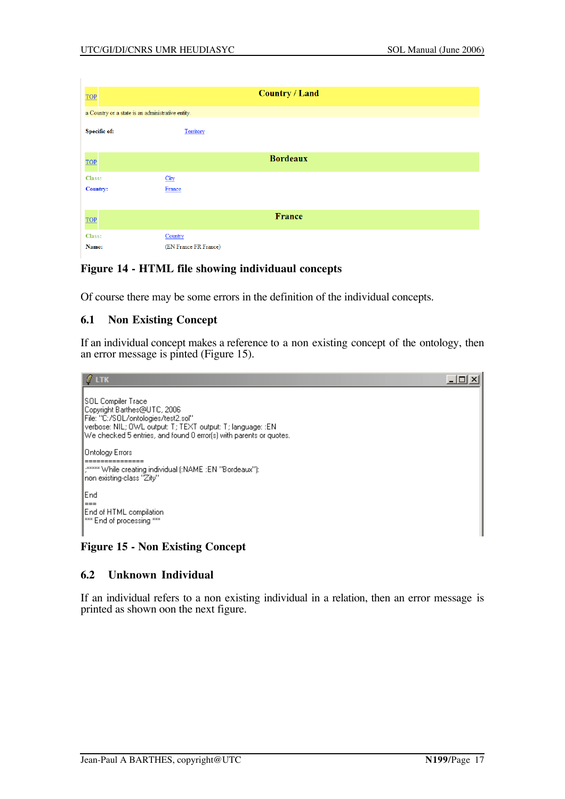| <b>TOP</b>          |                                                   | <b>Country / Land</b> |  |
|---------------------|---------------------------------------------------|-----------------------|--|
|                     | a Country or a state is an administrative entity. |                       |  |
| <b>Specific of:</b> | Territory                                         |                       |  |
| TOP                 |                                                   | <b>Bordeaux</b>       |  |
| Class:              | City                                              |                       |  |
| <b>Country:</b>     | France                                            |                       |  |
|                     |                                                   |                       |  |
| TOP                 |                                                   | France                |  |
| Class:              | Country                                           |                       |  |
| Name:               | (EN France FR France)                             |                       |  |

### **Figure 14 - HTML file showing individuaul concepts**

Of course there may be some errors in the definition of the individual concepts.

### **6.1 Non Existing Concept**

If an individual concept makes a reference to a non existing concept of the ontology, then an error message is pinted (Figure 15).



# **Figure 15 - Non Existing Concept**

#### **6.2 Unknown Individual**

If an individual refers to a non existing individual in a relation, then an error message is printed as shown oon the next figure.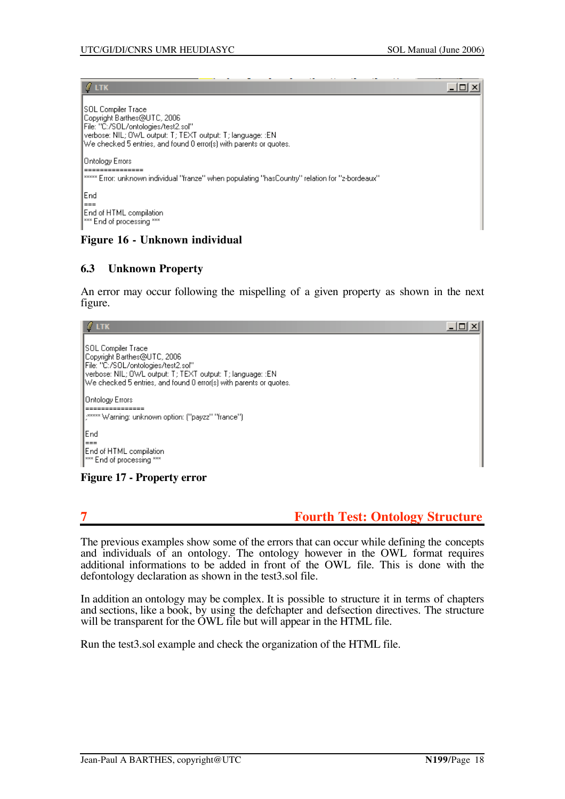$|$  $\Box$ |  $\times$ |

 $\ell$  ltk

| SOL Compiler Trace <br>lCopvright Barthes@UTC, 2006.<br>File: "C:/SOL/ontologies/test2.sol"<br> verbose: NIL; OWL output: T; TEXT output: T; language: :EN <br>We checked 5 entries, and found 0 error(s) with parents or quotes. |
|-----------------------------------------------------------------------------------------------------------------------------------------------------------------------------------------------------------------------------------|
| Ontology Errors                                                                                                                                                                                                                   |
| ==========<br>***** Error: unknown individual "franze" when populating "hasCountry" relation for "z-bordeaux"                                                                                                                     |
| lEnd.                                                                                                                                                                                                                             |
| ▏〓〓〓                                                                                                                                                                                                                              |
| End of HTML compilation                                                                                                                                                                                                           |
| <sup>***</sup> End of processing ***                                                                                                                                                                                              |

### **Figure 16 - Unknown individual**

### **6.3 Unknown Property**

An error may occur following the mispelling of a given property as shown in the next figure.

| <b>LTK</b>                                                                                                                                                                                                                      |  |
|---------------------------------------------------------------------------------------------------------------------------------------------------------------------------------------------------------------------------------|--|
| ISOL Compiler Trace<br> Copyright Barthes@UTC, 2006.<br>File: "C:/SOL/ontologies/test2.sol"<br>verbose: NIL; OWL output: T; TEXT output: T; language: :EN<br>We checked 5 entries, and found 0 error(s) with parents or quotes. |  |
| Ontology Errors <br>,***** Warning: unknown option: ("payzz" "france")                                                                                                                                                          |  |
| End<br>∣===<br>End of HTML compilation<br><sup>xxx</sup> End of processing ***                                                                                                                                                  |  |

**Figure 17 - Property error**

# **7 Fourth Test: Ontology Structure**

The previous examples show some of the errors that can occur while defining the concepts and individuals of an ontology. The ontology however in the OWL format requires additional informations to be added in front of the OWL file. This is done with the defontology declaration as shown in the test3.sol file.

In addition an ontology may be complex. It is possible to structure it in terms of chapters and sections, like a book, by using the defchapter and defsection directives. The structure will be transparent for the OWL file but will appear in the HTML file.

Run the test3.sol example and check the organization of the HTML file.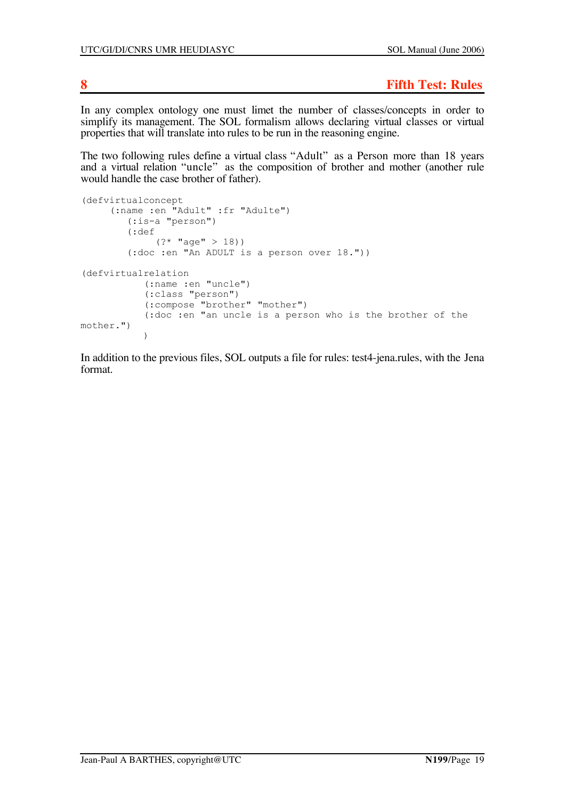**8 Fifth Test: Rules**

In any complex ontology one must limet the number of classes/concepts in order to simplify its management. The SOL formalism allows declaring virtual classes or virtual properties that will translate into rules to be run in the reasoning engine.

The two following rules define a virtual class "Adult" as a Person more than 18 years and a virtual relation "uncle" as the composition of brother and mother (another rule would handle the case brother of father).

```
(defvirtualconcept
      (:name :en "Adult" :fr "Adulte")
          (:is-a "person")
          (:def
              (? * "age" > 18)) (:doc :en "An ADULT is a person over 18."))
(defvirtualrelation
            (:name :en "uncle")
             (:class "person")
             (:compose "brother" "mother")
             (:doc :en "an uncle is a person who is the brother of the
mother.")
\overline{\phantom{a}}
```
In addition to the previous files, SOL outputs a file for rules: test4-jena.rules, with the Jena format.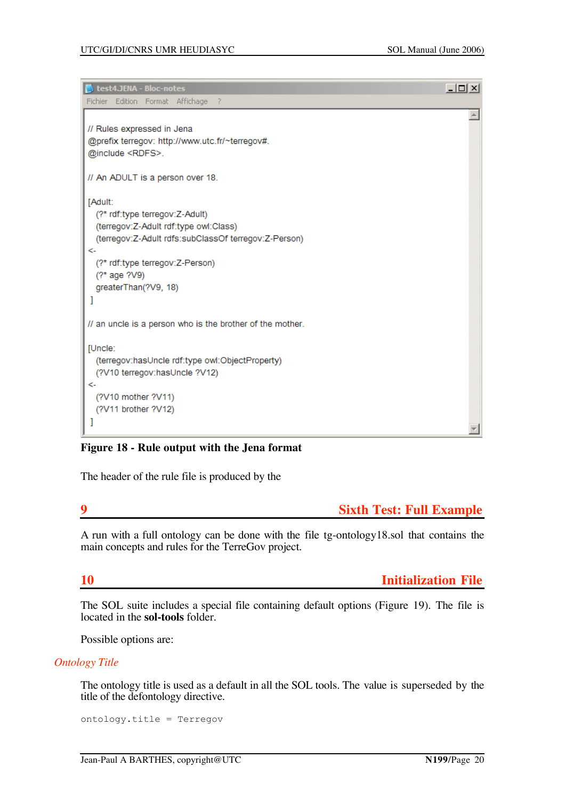| test4.JENA - Bloc-notes                                   | <u>니미지</u> |
|-----------------------------------------------------------|------------|
| Fichier Edition Format Affichage<br>- 7                   |            |
|                                                           |            |
| // Rules expressed in Jena                                |            |
| @prefix terregov: http://www.utc.fr/~terregov#.           |            |
| @include <rdfs>.</rdfs>                                   |            |
| // An ADULT is a person over 18.                          |            |
| [Adult:                                                   |            |
| (?* rdf:type terregov:Z-Adult)                            |            |
| (terregov:Z-Adult rdf:type owl:Class)                     |            |
| (terregov:Z-Adult rdfs:subClassOf terregov:Z-Person)      |            |
| <-                                                        |            |
| (?* rdf:type terregov:Z-Person)<br>(?* age ?V9)           |            |
| greaterThan(?V9, 18)                                      |            |
|                                                           |            |
|                                                           |            |
| // an uncle is a person who is the brother of the mother. |            |
| [Uncle:                                                   |            |
| (terregov:hasUncle rdf:type owl:ObjectProperty)           |            |
| (?V10 terregov:hasUncle ?V12)                             |            |
| <-                                                        |            |
| (?V10 mother ?V11)                                        |            |
| (?V11 brother ?V12)                                       |            |
|                                                           |            |
|                                                           |            |

### **Figure 18 - Rule output with the Jena format**

The header of the rule file is produced by the

## **9 Sixth Test: Full Example**

A run with a full ontology can be done with the file tg-ontology18.sol that contains the main concepts and rules for the TerreGov project.

**10 Initialization File**

The SOL suite includes a special file containing default options (Figure 19). The file is located in the **sol-tools** folder.

Possible options are:

#### *Ontology Title*

The ontology title is used as a default in all the SOL tools. The value is superseded by the title of the defontology directive.

ontology.title = Terregov